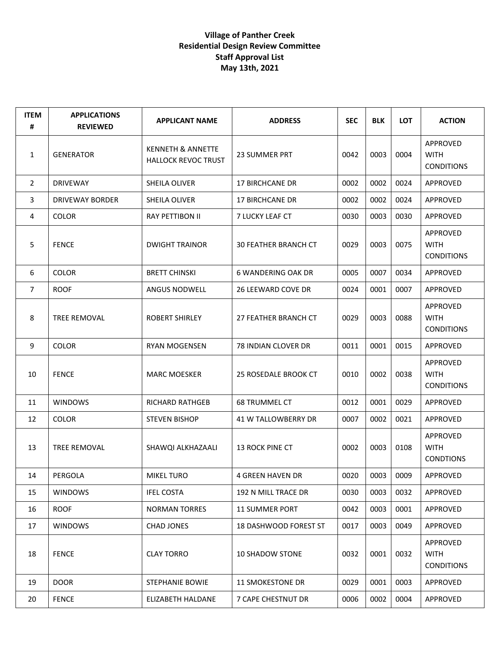## **Village of Panther Creek Residential Design Review Committee Staff Approval List May 13th, 2021**

| <b>ITEM</b><br># | <b>APPLICATIONS</b><br><b>REVIEWED</b> | <b>APPLICANT NAME</b>                                      | <b>ADDRESS</b>               | <b>SEC</b> | <b>BLK</b> | <b>LOT</b> | <b>ACTION</b>                                |
|------------------|----------------------------------------|------------------------------------------------------------|------------------------------|------------|------------|------------|----------------------------------------------|
| 1                | <b>GENERATOR</b>                       | <b>KENNETH &amp; ANNETTE</b><br><b>HALLOCK REVOC TRUST</b> | <b>23 SUMMER PRT</b>         | 0042       | 0003       | 0004       | APPROVED<br><b>WITH</b><br><b>CONDITIONS</b> |
| 2                | <b>DRIVEWAY</b>                        | SHEILA OLIVER                                              | <b>17 BIRCHCANE DR</b>       | 0002       | 0002       | 0024       | APPROVED                                     |
| 3                | <b>DRIVEWAY BORDER</b>                 | SHEILA OLIVER                                              | <b>17 BIRCHCANE DR</b>       | 0002       | 0002       | 0024       | APPROVED                                     |
| 4                | <b>COLOR</b>                           | RAY PETTIBON II                                            | 7 LUCKY LEAF CT              | 0030       | 0003       | 0030       | APPROVED                                     |
| 5                | <b>FENCE</b>                           | <b>DWIGHT TRAINOR</b>                                      | <b>30 FEATHER BRANCH CT</b>  | 0029       | 0003       | 0075       | APPROVED<br><b>WITH</b><br><b>CONDITIONS</b> |
| 6                | <b>COLOR</b>                           | <b>BRETT CHINSKI</b>                                       | 6 WANDERING OAK DR           | 0005       | 0007       | 0034       | APPROVED                                     |
| $\overline{7}$   | <b>ROOF</b>                            | ANGUS NODWELL                                              | 26 LEEWARD COVE DR           | 0024       | 0001       | 0007       | APPROVED                                     |
| 8                | TREE REMOVAL                           | <b>ROBERT SHIRLEY</b>                                      | 27 FEATHER BRANCH CT         | 0029       | 0003       | 0088       | APPROVED<br><b>WITH</b><br><b>CONDITIONS</b> |
| 9                | <b>COLOR</b>                           | <b>RYAN MOGENSEN</b>                                       | 78 INDIAN CLOVER DR          | 0011       | 0001       | 0015       | APPROVED                                     |
| 10               | <b>FENCE</b>                           | <b>MARC MOESKER</b>                                        | 25 ROSEDALE BROOK CT         | 0010       | 0002       | 0038       | APPROVED<br><b>WITH</b><br><b>CONDITIONS</b> |
| 11               | <b>WINDOWS</b>                         | <b>RICHARD RATHGEB</b>                                     | <b>68 TRUMMEL CT</b>         | 0012       | 0001       | 0029       | APPROVED                                     |
| 12               | <b>COLOR</b>                           | <b>STEVEN BISHOP</b>                                       | 41 W TALLOWBERRY DR          | 0007       | 0002       | 0021       | APPROVED                                     |
| 13               | TREE REMOVAL                           | SHAWQI ALKHAZAALI                                          | 13 ROCK PINE CT              | 0002       | 0003       | 0108       | APPROVED<br><b>WITH</b><br><b>CONDTIONS</b>  |
| 14               | PERGOLA                                | <b>MIKEL TURO</b>                                          | <b>4 GREEN HAVEN DR</b>      | 0020       | 0003       | 0009       | APPROVED                                     |
| 15               | <b>WINDOWS</b>                         | <b>IFEL COSTA</b>                                          | 192 N MILL TRACE DR          | 0030       | 0003       | 0032       | APPROVED                                     |
| 16               | <b>ROOF</b>                            | <b>NORMAN TORRES</b>                                       | <b>11 SUMMER PORT</b>        | 0042       | 0003       | 0001       | <b>APPROVED</b>                              |
| 17               | <b>WINDOWS</b>                         | <b>CHAD JONES</b>                                          | <b>18 DASHWOOD FOREST ST</b> | 0017       | 0003       | 0049       | APPROVED                                     |
| 18               | <b>FENCE</b>                           | <b>CLAY TORRO</b>                                          | <b>10 SHADOW STONE</b>       | 0032       | 0001       | 0032       | APPROVED<br><b>WITH</b><br><b>CONDITIONS</b> |
| 19               | <b>DOOR</b>                            | STEPHANIE BOWIE                                            | 11 SMOKESTONE DR             | 0029       | 0001       | 0003       | APPROVED                                     |
| 20               | <b>FENCE</b>                           | ELIZABETH HALDANE                                          | 7 CAPE CHESTNUT DR           | 0006       | 0002       | 0004       | APPROVED                                     |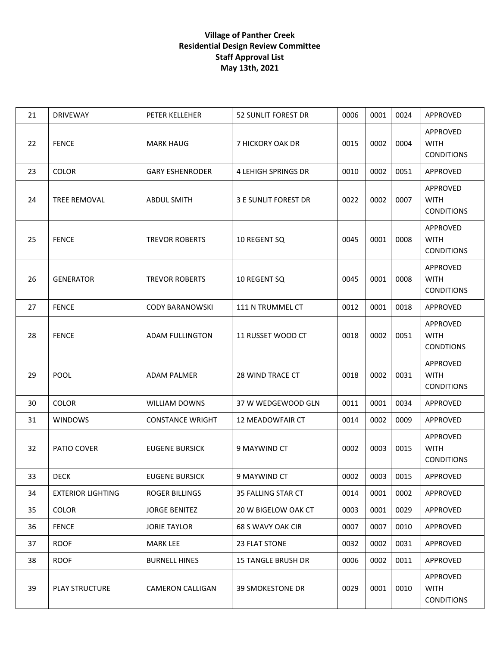## **Village of Panther Creek Residential Design Review Committee Staff Approval List May 13th, 2021**

| 21 | <b>DRIVEWAY</b>          | PETER KELLEHER          | 52 SUNLIT FOREST DR         | 0006 | 0001 | 0024 | APPROVED                                     |
|----|--------------------------|-------------------------|-----------------------------|------|------|------|----------------------------------------------|
| 22 | <b>FENCE</b>             | <b>MARK HAUG</b>        | 7 HICKORY OAK DR            | 0015 | 0002 | 0004 | APPROVED<br><b>WITH</b><br><b>CONDITIONS</b> |
| 23 | <b>COLOR</b>             | <b>GARY ESHENRODER</b>  | 4 LEHIGH SPRINGS DR         | 0010 | 0002 | 0051 | APPROVED                                     |
| 24 | <b>TREE REMOVAL</b>      | <b>ABDUL SMITH</b>      | <b>3 E SUNLIT FOREST DR</b> | 0022 | 0002 | 0007 | APPROVED<br><b>WITH</b><br><b>CONDITIONS</b> |
| 25 | <b>FENCE</b>             | <b>TREVOR ROBERTS</b>   | 10 REGENT SQ                | 0045 | 0001 | 0008 | APPROVED<br><b>WITH</b><br><b>CONDITIONS</b> |
| 26 | <b>GENERATOR</b>         | <b>TREVOR ROBERTS</b>   | 10 REGENT SQ                | 0045 | 0001 | 0008 | APPROVED<br><b>WITH</b><br><b>CONDITIONS</b> |
| 27 | <b>FENCE</b>             | <b>CODY BARANOWSKI</b>  | 111 N TRUMMEL CT            | 0012 | 0001 | 0018 | APPROVED                                     |
| 28 | <b>FENCE</b>             | <b>ADAM FULLINGTON</b>  | 11 RUSSET WOOD CT           | 0018 | 0002 | 0051 | APPROVED<br><b>WITH</b><br><b>CONDTIONS</b>  |
| 29 | <b>POOL</b>              | <b>ADAM PALMER</b>      | 28 WIND TRACE CT            | 0018 | 0002 | 0031 | APPROVED<br><b>WITH</b><br><b>CONDITIONS</b> |
| 30 | <b>COLOR</b>             | <b>WILLIAM DOWNS</b>    | 37 W WEDGEWOOD GLN          | 0011 | 0001 | 0034 | APPROVED                                     |
| 31 | <b>WINDOWS</b>           | <b>CONSTANCE WRIGHT</b> | 12 MEADOWFAIR CT            | 0014 | 0002 | 0009 | APPROVED                                     |
| 32 | PATIO COVER              | <b>EUGENE BURSICK</b>   | 9 MAYWIND CT                | 0002 | 0003 | 0015 | APPROVED<br><b>WITH</b><br><b>CONDITIONS</b> |
| 33 | <b>DECK</b>              | <b>EUGENE BURSICK</b>   | 9 MAYWIND CT                | 0002 | 0003 | 0015 | APPROVED                                     |
| 34 | <b>EXTERIOR LIGHTING</b> | <b>ROGER BILLINGS</b>   | 35 FALLING STAR CT          | 0014 | 0001 | 0002 | APPROVED                                     |
| 35 | <b>COLOR</b>             | <b>JORGE BENITEZ</b>    | 20 W BIGELOW OAK CT         | 0003 | 0001 | 0029 | APPROVED                                     |
| 36 | <b>FENCE</b>             | <b>JORIE TAYLOR</b>     | 68 S WAVY OAK CIR           | 0007 | 0007 | 0010 | APPROVED                                     |
| 37 | <b>ROOF</b>              | <b>MARK LEE</b>         | 23 FLAT STONE               | 0032 | 0002 | 0031 | <b>APPROVED</b>                              |
| 38 | <b>ROOF</b>              | <b>BURNELL HINES</b>    | <b>15 TANGLE BRUSH DR</b>   | 0006 | 0002 | 0011 | <b>APPROVED</b>                              |
| 39 | <b>PLAY STRUCTURE</b>    | CAMERON CALLIGAN        | 39 SMOKESTONE DR            | 0029 | 0001 | 0010 | APPROVED<br><b>WITH</b><br><b>CONDITIONS</b> |